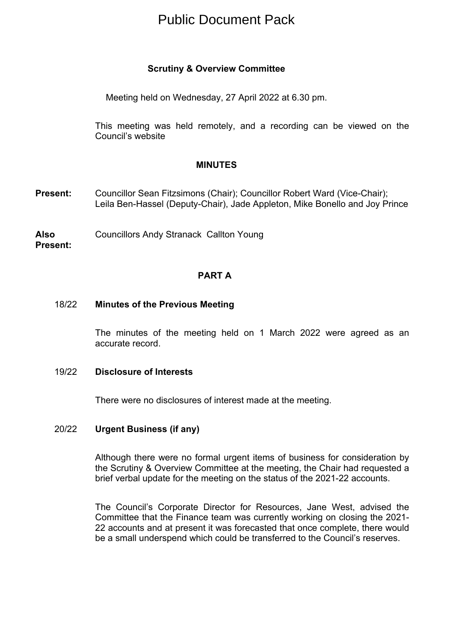# Public Document Pack

# **Scrutiny & Overview Committee**

Meeting held on Wednesday, 27 April 2022 at 6.30 pm.

This meeting was held remotely, and a recording can be viewed on the Council's website

#### **MINUTES**

- **Present:** Councillor Sean Fitzsimons (Chair); Councillor Robert Ward (Vice-Chair); Leila Ben-Hassel (Deputy-Chair), Jade Appleton, Mike Bonello and Joy Prince
- **Also Present:** Councillors Andy Stranack Callton Young

#### **PART A**

#### 18/22 **Minutes of the Previous Meeting**

The minutes of the meeting held on 1 March 2022 were agreed as an accurate record.

#### 19/22 **Disclosure of Interests**

There were no disclosures of interest made at the meeting.

## 20/22 **Urgent Business (if any)**

Although there were no formal urgent items of business for consideration by the Scrutiny & Overview Committee at the meeting, the Chair had requested a brief verbal update for the meeting on the status of the 2021-22 accounts.

The Council's Corporate Director for Resources, Jane West, advised the Committee that the Finance team was currently working on closing the 2021- 22 accounts and at present it was forecasted that once complete, there would be a small underspend which could be transferred to the Council's reserves.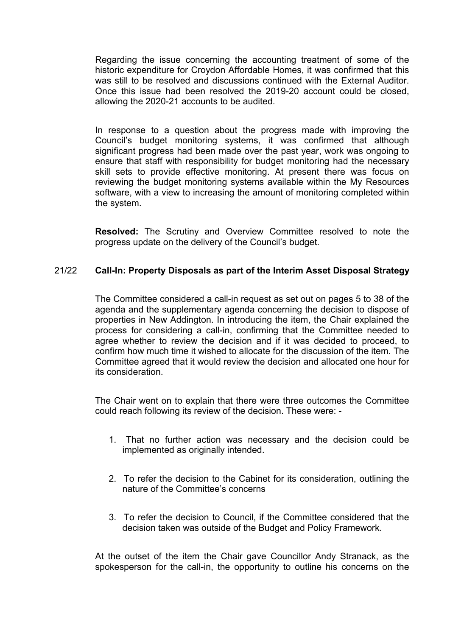Regarding the issue concerning the accounting treatment of some of the historic expenditure for Croydon Affordable Homes, it was confirmed that this was still to be resolved and discussions continued with the External Auditor. Once this issue had been resolved the 2019-20 account could be closed, allowing the 2020-21 accounts to be audited.

In response to a question about the progress made with improving the Council's budget monitoring systems, it was confirmed that although significant progress had been made over the past year, work was ongoing to ensure that staff with responsibility for budget monitoring had the necessary skill sets to provide effective monitoring. At present there was focus on reviewing the budget monitoring systems available within the My Resources software, with a view to increasing the amount of monitoring completed within the system.

**Resolved:** The Scrutiny and Overview Committee resolved to note the progress update on the delivery of the Council's budget.

# 21/22 **Call-In: Property Disposals as part of the Interim Asset Disposal Strategy**

The Committee considered a call-in request as set out on pages 5 to 38 of the agenda and the supplementary agenda concerning the decision to dispose of properties in New Addington. In introducing the item, the Chair explained the process for considering a call-in, confirming that the Committee needed to agree whether to review the decision and if it was decided to proceed, to confirm how much time it wished to allocate for the discussion of the item. The Committee agreed that it would review the decision and allocated one hour for its consideration.

The Chair went on to explain that there were three outcomes the Committee could reach following its review of the decision. These were: -

- 1. That no further action was necessary and the decision could be implemented as originally intended.
- 2. To refer the decision to the Cabinet for its consideration, outlining the nature of the Committee's concerns
- 3. To refer the decision to Council, if the Committee considered that the decision taken was outside of the Budget and Policy Framework.

At the outset of the item the Chair gave Councillor Andy Stranack, as the spokesperson for the call-in, the opportunity to outline his concerns on the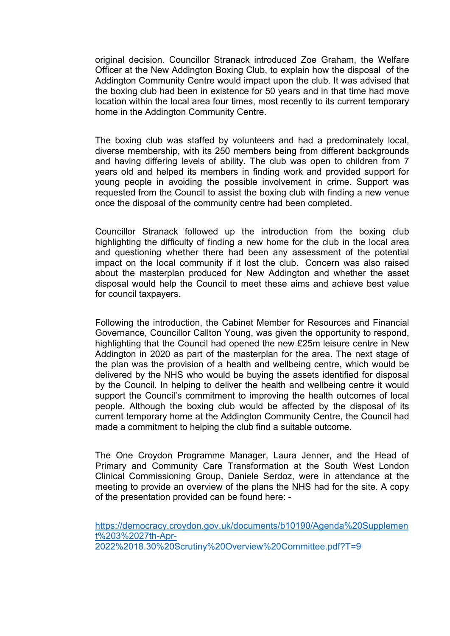original decision. Councillor Stranack introduced Zoe Graham, the Welfare Officer at the New Addington Boxing Club, to explain how the disposal of the Addington Community Centre would impact upon the club. It was advised that the boxing club had been in existence for 50 years and in that time had move location within the local area four times, most recently to its current temporary home in the Addington Community Centre.

The boxing club was staffed by volunteers and had a predominately local, diverse membership, with its 250 members being from different backgrounds and having differing levels of ability. The club was open to children from 7 years old and helped its members in finding work and provided support for young people in avoiding the possible involvement in crime. Support was requested from the Council to assist the boxing club with finding a new venue once the disposal of the community centre had been completed.

Councillor Stranack followed up the introduction from the boxing club highlighting the difficulty of finding a new home for the club in the local area and questioning whether there had been any assessment of the potential impact on the local community if it lost the club. Concern was also raised about the masterplan produced for New Addington and whether the asset disposal would help the Council to meet these aims and achieve best value for council taxpayers.

Following the introduction, the Cabinet Member for Resources and Financial Governance, Councillor Callton Young, was given the opportunity to respond, highlighting that the Council had opened the new £25m leisure centre in New Addington in 2020 as part of the masterplan for the area. The next stage of the plan was the provision of a health and wellbeing centre, which would be delivered by the NHS who would be buying the assets identified for disposal by the Council. In helping to deliver the health and wellbeing centre it would support the Council's commitment to improving the health outcomes of local people. Although the boxing club would be affected by the disposal of its current temporary home at the Addington Community Centre, the Council had made a commitment to helping the club find a suitable outcome.

The One Croydon Programme Manager, Laura Jenner, and the Head of Primary and Community Care Transformation at the South West London Clinical Commissioning Group, Daniele Serdoz, were in attendance at the meeting to provide an overview of the plans the NHS had for the site. A copy of the presentation provided can be found here: -

[https://democracy.croydon.gov.uk/documents/b10190/Agenda%20Supplemen](https://democracy.croydon.gov.uk/documents/b10190/Agenda%20Supplement%203%2027th-Apr-2022%2018.30%20Scrutiny%20Overview%20Committee.pdf?T=9) [t%203%2027th-Apr-](https://democracy.croydon.gov.uk/documents/b10190/Agenda%20Supplement%203%2027th-Apr-2022%2018.30%20Scrutiny%20Overview%20Committee.pdf?T=9)[2022%2018.30%20Scrutiny%20Overview%20Committee.pdf?T=9](https://democracy.croydon.gov.uk/documents/b10190/Agenda%20Supplement%203%2027th-Apr-2022%2018.30%20Scrutiny%20Overview%20Committee.pdf?T=9)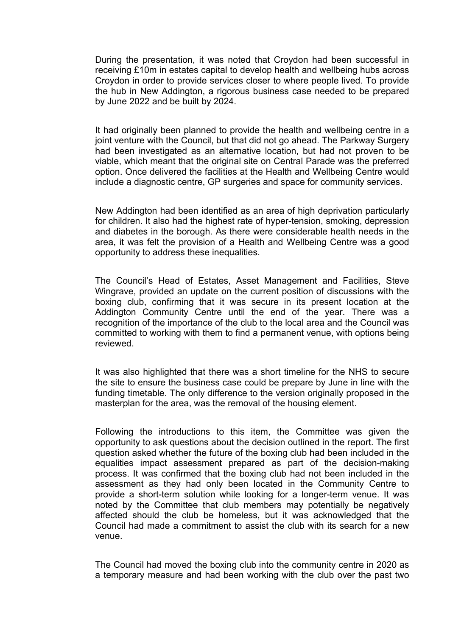During the presentation, it was noted that Croydon had been successful in receiving £10m in estates capital to develop health and wellbeing hubs across Croydon in order to provide services closer to where people lived. To provide the hub in New Addington, a rigorous business case needed to be prepared by June 2022 and be built by 2024.

It had originally been planned to provide the health and wellbeing centre in a joint venture with the Council, but that did not go ahead. The Parkway Surgery had been investigated as an alternative location, but had not proven to be viable, which meant that the original site on Central Parade was the preferred option. Once delivered the facilities at the Health and Wellbeing Centre would include a diagnostic centre, GP surgeries and space for community services.

New Addington had been identified as an area of high deprivation particularly for children. It also had the highest rate of hyper-tension, smoking, depression and diabetes in the borough. As there were considerable health needs in the area, it was felt the provision of a Health and Wellbeing Centre was a good opportunity to address these inequalities.

The Council's Head of Estates, Asset Management and Facilities, Steve Wingrave, provided an update on the current position of discussions with the boxing club, confirming that it was secure in its present location at the Addington Community Centre until the end of the year. There was a recognition of the importance of the club to the local area and the Council was committed to working with them to find a permanent venue, with options being reviewed.

It was also highlighted that there was a short timeline for the NHS to secure the site to ensure the business case could be prepare by June in line with the funding timetable. The only difference to the version originally proposed in the masterplan for the area, was the removal of the housing element.

Following the introductions to this item, the Committee was given the opportunity to ask questions about the decision outlined in the report. The first question asked whether the future of the boxing club had been included in the equalities impact assessment prepared as part of the decision-making process. It was confirmed that the boxing club had not been included in the assessment as they had only been located in the Community Centre to provide a short-term solution while looking for a longer-term venue. It was noted by the Committee that club members may potentially be negatively affected should the club be homeless, but it was acknowledged that the Council had made a commitment to assist the club with its search for a new venue.

The Council had moved the boxing club into the community centre in 2020 as a temporary measure and had been working with the club over the past two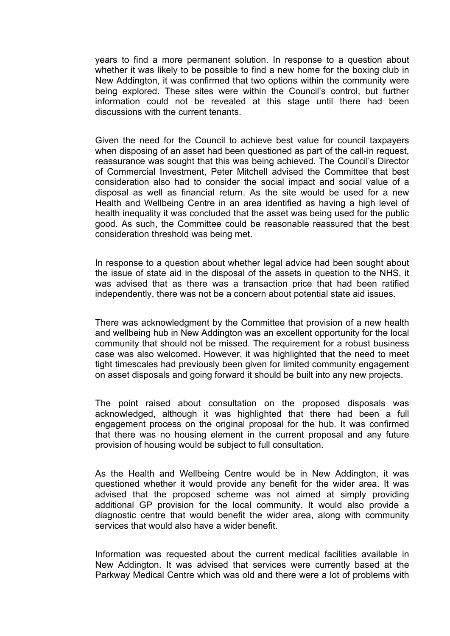years to find a more permanent solution. In response to a question about whether it was likely to be possible to find a new home for the boxing club in New Addington, it was confirmed that two options within the community were being explored. These sites were within the Council's control, but further information could not be revealed at this stage until there had been discussions with the current tenants.

Given the need for the Council to achieve best value for council taxpayers when disposing of an asset had been questioned as part of the call-in request, reassurance was sought that this was being achieved. The Council's Director of Commercial Investment, Peter Mitchell advised the Committee that best consideration also had to consider the social impact and social value of a disposal as well as financial return. As the site would be used for a new Health and Wellbeing Centre in an area identified as having a high level of health inequality it was concluded that the asset was being used for the public good. As such, the Committee could be reasonable reassured that the best consideration threshold was being met.

In response to a question about whether legal advice had been sought about the issue of state aid in the disposal of the assets in question to the NHS, it was advised that as there was a transaction price that had been ratified independently, there was not be a concern about potential state aid issues.

There was acknowledgment by the Committee that provision of a new health and wellbeing hub in New Addington was an excellent opportunity for the local community that should not be missed. The requirement for a robust business case was also welcomed. However, it was highlighted that the need to meet tight timescales had previously been given for limited community engagement on asset disposals and going forward it should be built into any new projects.

The point raised about consultation on the proposed disposals was acknowledged, although it was highlighted that there had been a full engagement process on the original proposal for the hub. It was confirmed that there was no housing element in the current proposal and any future provision of housing would be subject to full consultation.

As the Health and Wellbeing Centre would be in New Addington, it was questioned whether it would provide any benefit for the wider area. It was advised that the proposed scheme was not aimed at simply providing additional GP provision for the local community. It would also provide a diagnostic centre that would benefit the wider area, along with community services that would also have a wider benefit.

Information was requested about the current medical facilities available in New Addington. It was advised that services were currently based at the Parkway Medical Centre which was old and there were a lot of problems with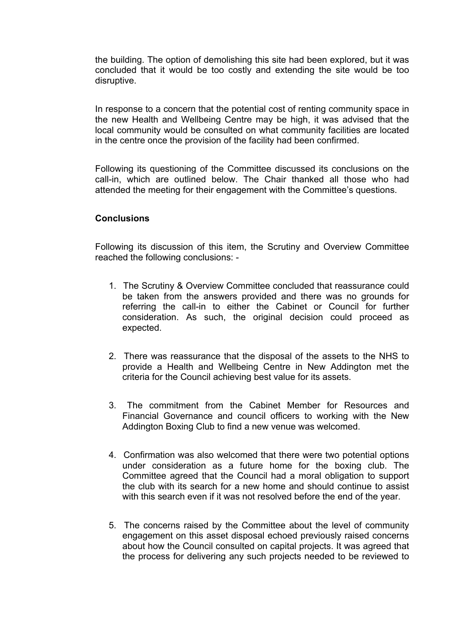the building. The option of demolishing this site had been explored, but it was concluded that it would be too costly and extending the site would be too disruptive.

In response to a concern that the potential cost of renting community space in the new Health and Wellbeing Centre may be high, it was advised that the local community would be consulted on what community facilities are located in the centre once the provision of the facility had been confirmed.

Following its questioning of the Committee discussed its conclusions on the call-in, which are outlined below. The Chair thanked all those who had attended the meeting for their engagement with the Committee's questions.

#### **Conclusions**

Following its discussion of this item, the Scrutiny and Overview Committee reached the following conclusions: -

- 1. The Scrutiny & Overview Committee concluded that reassurance could be taken from the answers provided and there was no grounds for referring the call-in to either the Cabinet or Council for further consideration. As such, the original decision could proceed as expected.
- 2. There was reassurance that the disposal of the assets to the NHS to provide a Health and Wellbeing Centre in New Addington met the criteria for the Council achieving best value for its assets.
- 3. The commitment from the Cabinet Member for Resources and Financial Governance and council officers to working with the New Addington Boxing Club to find a new venue was welcomed.
- 4. Confirmation was also welcomed that there were two potential options under consideration as a future home for the boxing club. The Committee agreed that the Council had a moral obligation to support the club with its search for a new home and should continue to assist with this search even if it was not resolved before the end of the year.
- 5. The concerns raised by the Committee about the level of community engagement on this asset disposal echoed previously raised concerns about how the Council consulted on capital projects. It was agreed that the process for delivering any such projects needed to be reviewed to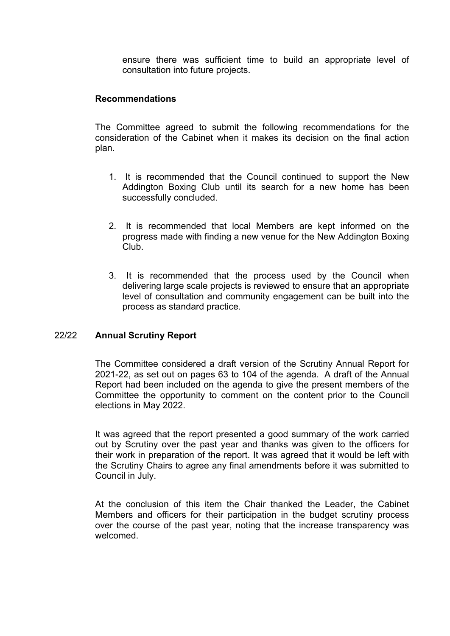ensure there was sufficient time to build an appropriate level of consultation into future projects.

## **Recommendations**

The Committee agreed to submit the following recommendations for the consideration of the Cabinet when it makes its decision on the final action plan.

- 1. It is recommended that the Council continued to support the New Addington Boxing Club until its search for a new home has been successfully concluded.
- 2. It is recommended that local Members are kept informed on the progress made with finding a new venue for the New Addington Boxing Club.
- 3. It is recommended that the process used by the Council when delivering large scale projects is reviewed to ensure that an appropriate level of consultation and community engagement can be built into the process as standard practice.

## 22/22 **Annual Scrutiny Report**

The Committee considered a draft version of the Scrutiny Annual Report for 2021-22, as set out on pages 63 to 104 of the agenda. A draft of the Annual Report had been included on the agenda to give the present members of the Committee the opportunity to comment on the content prior to the Council elections in May 2022.

It was agreed that the report presented a good summary of the work carried out by Scrutiny over the past year and thanks was given to the officers for their work in preparation of the report. It was agreed that it would be left with the Scrutiny Chairs to agree any final amendments before it was submitted to Council in July.

At the conclusion of this item the Chair thanked the Leader, the Cabinet Members and officers for their participation in the budget scrutiny process over the course of the past year, noting that the increase transparency was welcomed.